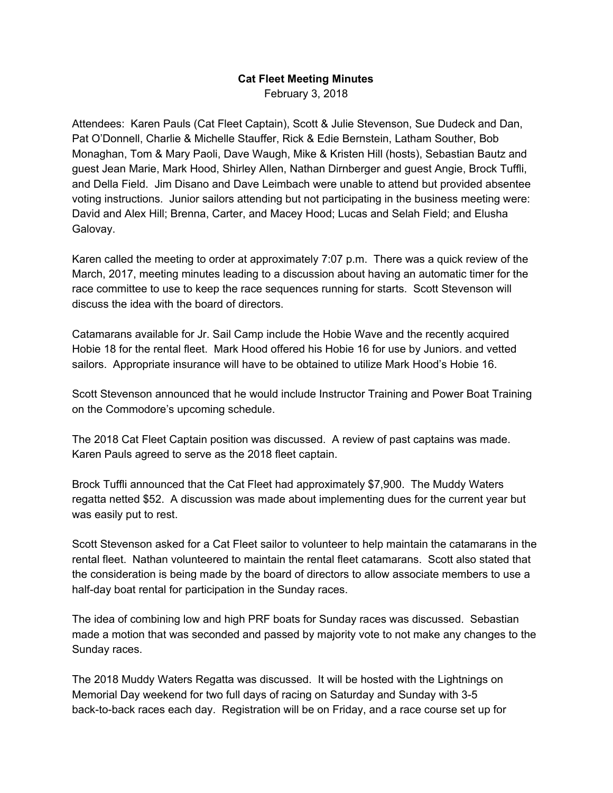## **Cat Fleet Meeting Minutes**

February 3, 2018

Attendees: Karen Pauls (Cat Fleet Captain), Scott & Julie Stevenson, Sue Dudeck and Dan, Pat O'Donnell, Charlie & Michelle Stauffer, Rick & Edie Bernstein, Latham Souther, Bob Monaghan, Tom & Mary Paoli, Dave Waugh, Mike & Kristen Hill (hosts), Sebastian Bautz and guest Jean Marie, Mark Hood, Shirley Allen, Nathan Dirnberger and guest Angie, Brock Tuffli, and Della Field. Jim Disano and Dave Leimbach were unable to attend but provided absentee voting instructions. Junior sailors attending but not participating in the business meeting were: David and Alex Hill; Brenna, Carter, and Macey Hood; Lucas and Selah Field; and Elusha Galovay.

Karen called the meeting to order at approximately 7:07 p.m. There was a quick review of the March, 2017, meeting minutes leading to a discussion about having an automatic timer for the race committee to use to keep the race sequences running for starts. Scott Stevenson will discuss the idea with the board of directors.

Catamarans available for Jr. Sail Camp include the Hobie Wave and the recently acquired Hobie 18 for the rental fleet. Mark Hood offered his Hobie 16 for use by Juniors. and vetted sailors. Appropriate insurance will have to be obtained to utilize Mark Hood's Hobie 16.

Scott Stevenson announced that he would include Instructor Training and Power Boat Training on the Commodore's upcoming schedule.

The 2018 Cat Fleet Captain position was discussed. A review of past captains was made. Karen Pauls agreed to serve as the 2018 fleet captain.

Brock Tuffli announced that the Cat Fleet had approximately \$7,900. The Muddy Waters regatta netted \$52. A discussion was made about implementing dues for the current year but was easily put to rest.

Scott Stevenson asked for a Cat Fleet sailor to volunteer to help maintain the catamarans in the rental fleet. Nathan volunteered to maintain the rental fleet catamarans. Scott also stated that the consideration is being made by the board of directors to allow associate members to use a half-day boat rental for participation in the Sunday races.

The idea of combining low and high PRF boats for Sunday races was discussed. Sebastian made a motion that was seconded and passed by majority vote to not make any changes to the Sunday races.

The 2018 Muddy Waters Regatta was discussed. It will be hosted with the Lightnings on Memorial Day weekend for two full days of racing on Saturday and Sunday with 3-5 back-to-back races each day. Registration will be on Friday, and a race course set up for